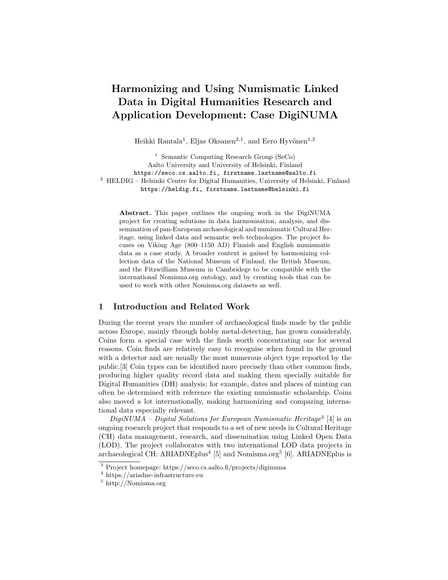# Harmonizing and Using Numismatic Linked Data in Digital Humanities Research and Application Development: Case DigiNUMA

Heikki Rantala<sup>1</sup>, Eljas Oksanen<sup>2,1</sup>, and Eero Hyvönen<sup>1,2</sup>

<sup>1</sup> Semantic Computing Research Group (SeCo) Aalto University and University of Helsinki, Finland https://seco.cs.aalto.fi, firstname.lastname@aalto.fi  $^{\rm 2}$  HELDIG – Helsinki Centre for Digital Humanities, University of Helsinki, Finland https://heldig.fi, firstname.lastname@helsinki.fi

Abstract. This paper outlines the ongoing work in the DigiNUMA project for creating solutions in data harmonisation, analysis, and dissemination of pan-European archaeological and numismatic Cultural Heritage, using linked data and semantic web technologies. The project focuses on Viking Age (800–1150 AD) Finnish and English numismatic data as a case study. A broader context is gained by harmonizing collection data of the National Museum of Finland, the British Museum, and the Fitzwilliam Museum in Cambridege to be compatible with the international Nomisma.org ontology, and by creating tools that can be used to work with other Nomisma.org datasets as well.

## 1 Introduction and Related Work

During the recent years the number of archaeological finds made by the public across Europe, mainly through hobby metal-detecting, has grown considerably. Coins form a special case with the finds worth concentrating one for several reasons. Coin finds are relatively easy to recognise when found in the ground with a detector and are usually the most numerous object type reported by the public.[\[3\]](#page-3-0) Coin types can be identified more precisely than other common finds, producing higher quality record data and making them specially suitable for Digital Humanities (DH) analysis; for example, dates and places of minting can often be determined with reference the existing numismatic scholarship. Coins also moved a lot internationally, making harmonizing and comparing international data especially relevant.

 $DigitMMA - Digital Solutions for European Numismatic Heritage<sup>3</sup> [4] is an$  $DigitMMA - Digital Solutions for European Numismatic Heritage<sup>3</sup> [4] is an$  $DigitMMA - Digital Solutions for European Numismatic Heritage<sup>3</sup> [4] is an$  $DigitMMA - Digital Solutions for European Numismatic Heritage<sup>3</sup> [4] is an$  $DigitMMA - Digital Solutions for European Numismatic Heritage<sup>3</sup> [4] is an$ ongoing research project that responds to a set of new needs in Cultural Heritage (CH) data management, research, and dissemination using Linked Open Data (LOD). The project collaborates with two international LOD data projects in archaeological CH: ARIADNEplus<sup>[4](#page-0-1)</sup> [\[5\]](#page-3-2) and Nomisma.org<sup>[5](#page-0-2)</sup> [\[6\]](#page-3-3). ARIADNEplus is

<span id="page-0-0"></span><sup>3</sup> Project homepage:<https://seco.cs.aalto.fi/projects/diginuma>

<span id="page-0-1"></span><sup>4</sup> [https://ariadne-infrastructure.eu]( https://ariadne-infrastructure.eu)

<span id="page-0-2"></span><sup>5</sup> <http://Nomisma.org>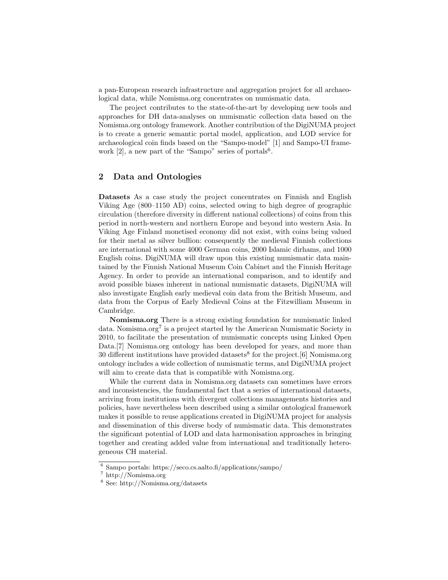a pan-European research infrastructure and aggregation project for all archaeological data, while Nomisma.org concentrates on numismatic data.

The project contributes to the state-of-the-art by developing new tools and approaches for DH data-analyses on numismatic collection data based on the Nomisma.org ontology framework. Another contribution of the DigiNUMA project is to create a generic semantic portal model, application, and LOD service for archaeological coin finds based on the "Sampo-model" [\[1\]](#page-3-4) and Sampo-UI framework  $[2]$ , a new part of the "Sampo" series of portals<sup>[6](#page-1-0)</sup>.

### 2 Data and Ontologies

Datasets As a case study the project concentrates on Finnish and English Viking Age (800–1150 AD) coins, selected owing to high degree of geographic circulation (therefore diversity in different national collections) of coins from this period in north-western and northern Europe and beyond into western Asia. In Viking Age Finland monetised economy did not exist, with coins being valued for their metal as silver bullion: consequently the medieval Finnish collections are international with some 4000 German coins, 2000 Islamic dirhams, and 1000 English coins. DigiNUMA will draw upon this existing numismatic data maintained by the Finnish National Museum Coin Cabinet and the Finnish Heritage Agency. In order to provide an international comparison, and to identify and avoid possible biases inherent in national numismatic datasets, DigiNUMA will also investigate English early medieval coin data from the British Museum, and data from the Corpus of Early Medieval Coins at the Fitzwilliam Museum in Cambridge.

Nomisma.org There is a strong existing foundation for numismatic linked data. Nomisma.org<sup>[7](#page-1-1)</sup> is a project started by the American Numismatic Society in 2010, to facilitate the presentation of numismatic concepts using Linked Open Data.[\[7\]](#page-3-6) Nomisma.org ontology has been developed for years, and more than 30 different institutions have provided datasets<sup>[8](#page-1-2)</sup> for the project. [\[6\]](#page-3-3) Nomisma.org ontology includes a wide collection of numismatic terms, and DigiNUMA project will aim to create data that is compatible with Nomisma.org.

While the current data in Nomisma.org datasets can sometimes have errors and inconsistencies, the fundamental fact that a series of international datasets, arriving from institutions with divergent collections managements histories and policies, have nevertheless been described using a similar ontological framework makes it possible to reuse applications created in DigiNUMA project for analysis and dissemination of this diverse body of numismatic data. This demonstrates the significant potential of LOD and data harmonisation approaches in bringing together and creating added value from international and traditionally heterogeneous CH material.

<span id="page-1-0"></span><sup>6</sup> Sampo portals:<https://seco.cs.aalto.fi/applications/sampo/>

<span id="page-1-1"></span><sup>7</sup> <http://Nomisma.org>

<span id="page-1-2"></span><sup>8</sup> See: http://Nomisma.org/datasets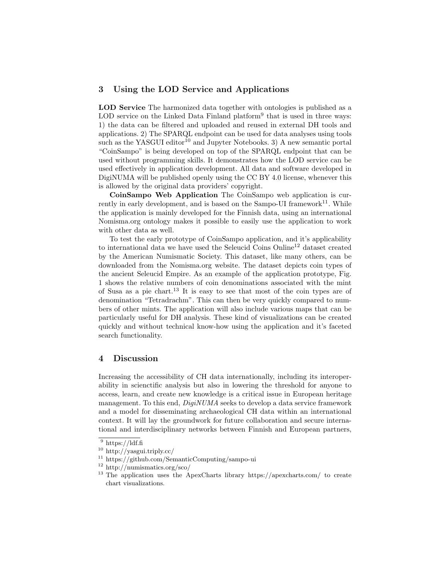# 3 Using the LOD Service and Applications

LOD Service The harmonized data together with ontologies is published as a LOD service on the Linked Data Finland platform<sup>[9](#page-2-0)</sup> that is used in three ways: 1) the data can be filtered and uploaded and reused in external DH tools and applications. 2) The SPARQL endpoint can be used for data analyses using tools such as the YASGUI editor<sup>[10](#page-2-1)</sup> and Jupyter Notebooks. 3) A new semantic portal "CoinSampo" is being developed on top of the SPARQL endpoint that can be used without programming skills. It demonstrates how the LOD service can be used effectively in application development. All data and software developed in DigiNUMA will be published openly using the CC BY 4.0 license, whenever this is allowed by the original data providers' copyright.

CoinSampo Web Application The CoinSampo web application is cur-rently in early development, and is based on the Sampo-UI framework<sup>[11](#page-2-2)</sup>. While the application is mainly developed for the Finnish data, using an international Nomisma.org ontology makes it possible to easily use the application to work with other data as well.

To test the early prototype of CoinSampo application, and it's applicability to international data we have used the Seleucid Coins Online[12](#page-2-3) dataset created by the American Numismatic Society. This dataset, like many others, can be downloaded from the Nomisma.org website. The dataset depicts coin types of the ancient Seleucid Empire. As an example of the application prototype, Fig. [1](#page-3-7) shows the relative numbers of coin denominations associated with the mint of Susa as a pie chart.<sup>[13](#page-2-4)</sup> It is easy to see that most of the coin types are of denomination "Tetradrachm". This can then be very quickly compared to numbers of other mints. The application will also include various maps that can be particularly useful for DH analysis. These kind of visualizations can be created quickly and without technical know-how using the application and it's faceted search functionality.

## 4 Discussion

Increasing the accessibility of CH data internationally, including its interoperability in scienctific analysis but also in lowering the threshold for anyone to access, learn, and create new knowledge is a critical issue in European heritage management. To this end, DigiNUMA seeks to develop a data service framework and a model for disseminating archaeological CH data within an international context. It will lay the groundwork for future collaboration and secure international and interdisciplinary networks between Finnish and European partners,

<span id="page-2-0"></span> $\frac{9 \text{ https://ldf.fi}}{9 \text{ https://ldf.fi}}$  $\frac{9 \text{ https://ldf.fi}}{9 \text{ https://ldf.fi}}$  $\frac{9 \text{ https://ldf.fi}}{9 \text{ https://ldf.fi}}$ 

<span id="page-2-1"></span><sup>10</sup> <http://yasgui.triply.cc/>

<span id="page-2-2"></span><sup>11</sup> <https://github.com/SemanticComputing/sampo-ui>

<span id="page-2-3"></span><sup>12</sup> <http://numismatics.org/sco/>

<span id="page-2-4"></span><sup>&</sup>lt;sup>13</sup> The application uses the ApexCharts library<https://apexcharts.com/> to create chart visualizations.